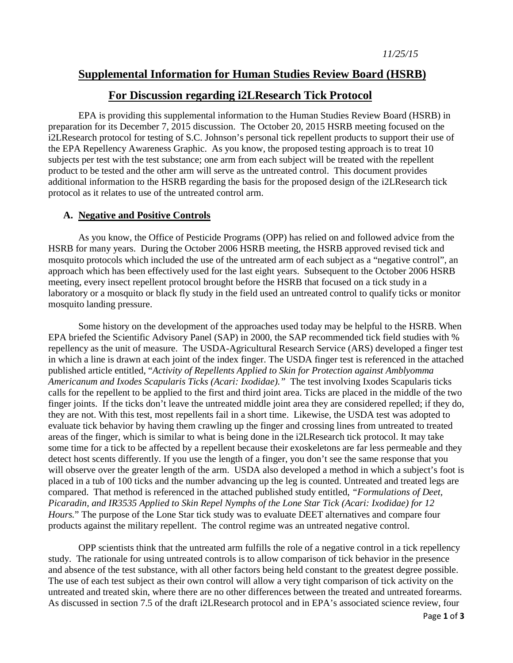## **Supplemental Information for Human Studies Review Board (HSRB)**

## **For Discussion regarding i2LResearch Tick Protocol**

EPA is providing this supplemental information to the Human Studies Review Board (HSRB) in preparation for its December 7, 2015 discussion. The October 20, 2015 HSRB meeting focused on the i2LResearch protocol for testing of S.C. Johnson's personal tick repellent products to support their use of the EPA Repellency Awareness Graphic. As you know, the proposed testing approach is to treat 10 subjects per test with the test substance; one arm from each subject will be treated with the repellent product to be tested and the other arm will serve as the untreated control. This document provides additional information to the HSRB regarding the basis for the proposed design of the i2LResearch tick protocol as it relates to use of the untreated control arm.

## **A. Negative and Positive Controls**

As you know, the Office of Pesticide Programs (OPP) has relied on and followed advice from the HSRB for many years. During the October 2006 HSRB meeting, the HSRB approved revised tick and mosquito protocols which included the use of the untreated arm of each subject as a "negative control", an approach which has been effectively used for the last eight years. Subsequent to the October 2006 HSRB meeting, every insect repellent protocol brought before the HSRB that focused on a tick study in a laboratory or a mosquito or black fly study in the field used an untreated control to qualify ticks or monitor mosquito landing pressure.

Some history on the development of the approaches used today may be helpful to the HSRB. When EPA briefed the Scientific Advisory Panel (SAP) in 2000, the SAP recommended tick field studies with % repellency as the unit of measure. The USDA-Agricultural Research Service (ARS) developed a finger test in which a line is drawn at each joint of the index finger. The USDA finger test is referenced in the attached published article entitled, "*Activity of Repellents Applied to Skin for Protection against Amblyomma Americanum and Ixodes Scapularis Ticks (Acari: Ixodidae)."* The test involving Ixodes Scapularis ticks calls for the repellent to be applied to the first and third joint area. Ticks are placed in the middle of the two finger joints. If the ticks don't leave the untreated middle joint area they are considered repelled; if they do, they are not. With this test, most repellents fail in a short time. Likewise, the USDA test was adopted to evaluate tick behavior by having them crawling up the finger and crossing lines from untreated to treated areas of the finger, which is similar to what is being done in the i2LResearch tick protocol. It may take some time for a tick to be affected by a repellent because their exoskeletons are far less permeable and they detect host scents differently. If you use the length of a finger, you don't see the same response that you will observe over the greater length of the arm. USDA also developed a method in which a subject's foot is placed in a tub of 100 ticks and the number advancing up the leg is counted. Untreated and treated legs are compared. That method is referenced in the attached published study entitled, *"Formulations of Deet, Picaradin, and IR3535 Applied to Skin Repel Nymphs of the Lone Star Tick (Acari: Ixodidae) for 12 Hours.*" The purpose of the Lone Star tick study was to evaluate DEET alternatives and compare four products against the military repellent. The control regime was an untreated negative control.

OPP scientists think that the untreated arm fulfills the role of a negative control in a tick repellency study. The rationale for using untreated controls is to allow comparison of tick behavior in the presence and absence of the test substance, with all other factors being held constant to the greatest degree possible. The use of each test subject as their own control will allow a very tight comparison of tick activity on the untreated and treated skin, where there are no other differences between the treated and untreated forearms. As discussed in section 7.5 of the draft i2LResearch protocol and in EPA's associated science review, four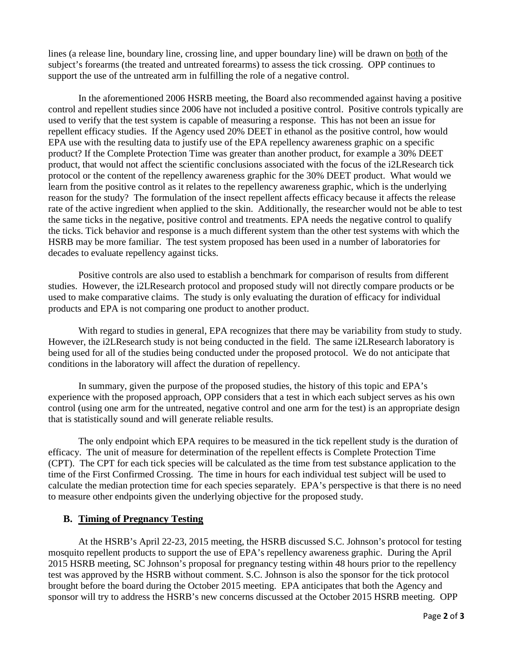lines (a release line, boundary line, crossing line, and upper boundary line) will be drawn on both of the subject's forearms (the treated and untreated forearms) to assess the tick crossing. OPP continues to support the use of the untreated arm in fulfilling the role of a negative control.

In the aforementioned 2006 HSRB meeting, the Board also recommended against having a positive control and repellent studies since 2006 have not included a positive control. Positive controls typically are used to verify that the test system is capable of measuring a response. This has not been an issue for repellent efficacy studies. If the Agency used 20% DEET in ethanol as the positive control, how would EPA use with the resulting data to justify use of the EPA repellency awareness graphic on a specific product? If the Complete Protection Time was greater than another product, for example a 30% DEET product, that would not affect the scientific conclusions associated with the focus of the i2LResearch tick protocol or the content of the repellency awareness graphic for the 30% DEET product. What would we learn from the positive control as it relates to the repellency awareness graphic, which is the underlying reason for the study? The formulation of the insect repellent affects efficacy because it affects the release rate of the active ingredient when applied to the skin. Additionally, the researcher would not be able to test the same ticks in the negative, positive control and treatments. EPA needs the negative control to qualify the ticks. Tick behavior and response is a much different system than the other test systems with which the HSRB may be more familiar. The test system proposed has been used in a number of laboratories for decades to evaluate repellency against ticks.

Positive controls are also used to establish a benchmark for comparison of results from different studies. However, the i2LResearch protocol and proposed study will not directly compare products or be used to make comparative claims. The study is only evaluating the duration of efficacy for individual products and EPA is not comparing one product to another product.

With regard to studies in general, EPA recognizes that there may be variability from study to study. However, the i2LResearch study is not being conducted in the field. The same i2LResearch laboratory is being used for all of the studies being conducted under the proposed protocol. We do not anticipate that conditions in the laboratory will affect the duration of repellency.

In summary, given the purpose of the proposed studies, the history of this topic and EPA's experience with the proposed approach, OPP considers that a test in which each subject serves as his own control (using one arm for the untreated, negative control and one arm for the test) is an appropriate design that is statistically sound and will generate reliable results.

The only endpoint which EPA requires to be measured in the tick repellent study is the duration of efficacy. The unit of measure for determination of the repellent effects is Complete Protection Time (CPT). The CPT for each tick species will be calculated as the time from test substance application to the time of the First Confirmed Crossing. The time in hours for each individual test subject will be used to calculate the median protection time for each species separately. EPA's perspective is that there is no need to measure other endpoints given the underlying objective for the proposed study.

## **B. Timing of Pregnancy Testing**

At the HSRB's April 22-23, 2015 meeting, the HSRB discussed S.C. Johnson's protocol for testing mosquito repellent products to support the use of EPA's repellency awareness graphic. During the April 2015 HSRB meeting, SC Johnson's proposal for pregnancy testing within 48 hours prior to the repellency test was approved by the HSRB without comment. S.C. Johnson is also the sponsor for the tick protocol brought before the board during the October 2015 meeting. EPA anticipates that both the Agency and sponsor will try to address the HSRB's new concerns discussed at the October 2015 HSRB meeting. OPP